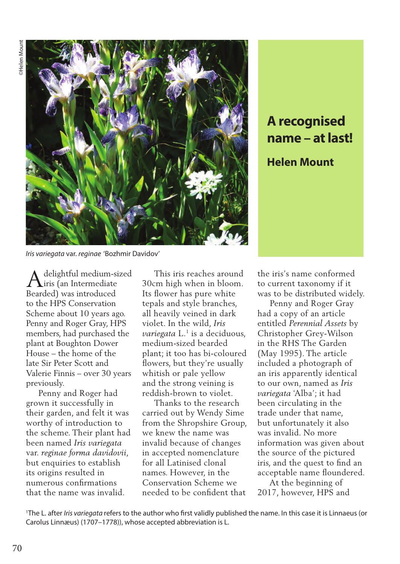

**A recognised name – at last! Helen Mount**

*Iris variegata* var. *reginae* 'Bozhmir Davidov'

delightful medium-sized iris (an Intermediate  $\bigwedge^{\text{delightful medium-si}}_{\text{iris (an Intermediate} }\$ to the HPS Conservation Scheme about 10 years ago. Penny and Roger Gray, HPS members, had purchased the plant at Boughton Dower House – the home of the late Sir Peter Scott and Valerie Finnis – over 30 years previously.

 Penny and Roger had grown it successfully in their garden, and felt it was worthy of introduction to the scheme. Their plant had been named *Iris variegata*  var. *reginae forma davidovii*, but enquiries to establish its origins resulted in numerous confirmations that the name was invalid.

 This iris reaches around 30cm high when in bloom. Its flower has pure white tepals and style branches, all heavily veined in dark violet. In the wild, *Iris variegata* L.<sup>1</sup> is a deciduous, medium-sized bearded plant; it too has bi-coloured flowers, but they're usually whitish or pale yellow and the strong veining is reddish-brown to violet.

 Thanks to the research carried out by Wendy Sime from the Shropshire Group, we knew the name was invalid because of changes in accepted nomenclature for all Latinised clonal names. However, in the Conservation Scheme we needed to be confident that

the iris's name conformed to current taxonomy if it was to be distributed widely.

 Penny and Roger Gray had a copy of an article entitled *Perennial Assets* by Christopher Grey-Wilson in the RHS The Garden (May 1995). The article included a photograph of an iris apparently identical to our own, named as *Iris variegata* 'Alba'; it had been circulating in the trade under that name, but unfortunately it also was invalid. No more information was given about the source of the pictured iris, and the quest to find an acceptable name floundered.

 At the beginning of 2017, however, HPS and

1 The L. after *Iris variegata* refers to the author who first validly published the name. In this case it is Linnaeus (or Carolus Linnæus) (1707–1778)), whose accepted abbreviation is L.